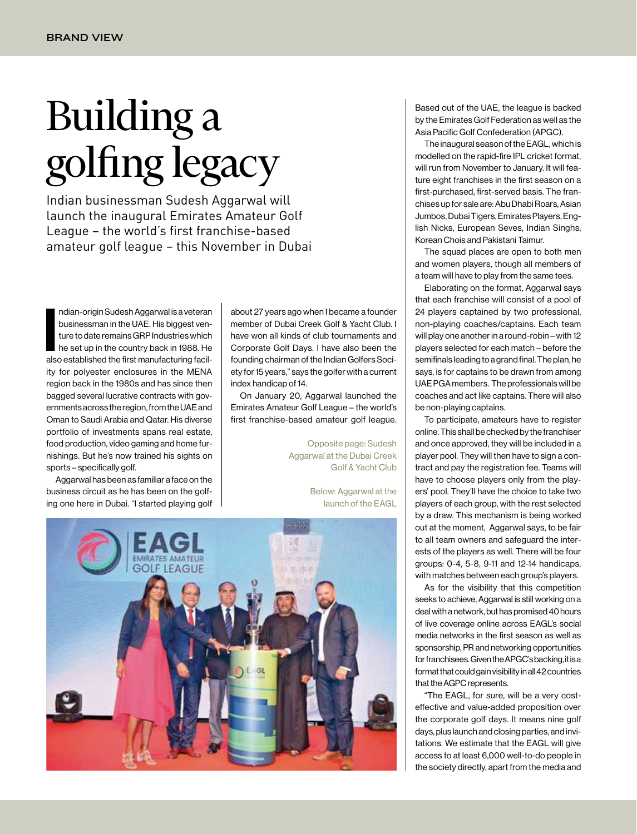## Building a [golfing legacy](http://www.eagl.ae/)

Indian businessman Sudesh Aggarwal will launch the inaugural Emirates Amateur Golf League – the world's first franchise-based amateur golf league – this November in Dubai

ndian-origin Sudesh Aggarwal is a veteran<br>businessman in the UAE. His biggest ven-<br>ture to date remains GRP Industries which<br>he set up in the country back in 1988. He<br>also established the first manufacturing facilndian-origin Sudesh Aggarwal is a veteran businessman in the UAE. His biggest venture to date remains GRP Industries which he set up in the country back in 1988. He ity for polyester enclosures in the MENA region back in the 1980s and has since then bagged several lucrative contracts with governments across the region, from the UAE and Oman to Saudi Arabia and Qatar. His diverse portfolio of investments spans real estate, food production, video gaming and home furnishings. But he's now trained his sights on sports – specifically golf.

Aggarwal has been as familiar a face on the business circuit as he has been on the golfing one here in Dubai. "I started playing golf

about 27 years ago when I became a founder member of Dubai Creek Golf & Yacht Club. I have won all kinds of club tournaments and Corporate Golf Days. I have also been the founding chairman of the Indian Golfers Society for 15 years," says the golfer with a current index handicap of 14.

On January 20, Aggarwal launched the Emirates Amateur Golf League – the world's first franchise-based amateur golf league.

> Opposite page: Sudesh Aggarwal at the Dubai Creek Golf & Yacht Club

> > Below: Aggarwal at the launch of the EAGL



Based out of the UAE, the league is backed by the Emirates Golf Federation as well as the Asia Pacific Golf Confederation (APGC).

The inaugural season of the EAGL, which is modelled on the rapid-fire IPL cricket format, will run from November to January. It will feature eight franchises in the first season on a first-purchased, first-served basis. The franchises up for sale are: Abu Dhabi Roars, Asian Jumbos, Dubai Tigers, Emirates Players, English Nicks, European Seves, Indian Singhs, Korean Chois and Pakistani Taimur.

The squad places are open to both men and women players, though all members of a team will have to play from the same tees.

Elaborating on the format, Aggarwal says that each franchise will consist of a pool of 24 players captained by two professional, non-playing coaches/captains. Each team will play one another in a round-robin – with 12 players selected for each match – before the semifinals leading to a grand final. The plan, he says, is for captains to be drawn from among UAE PGA members. The professionals will be coaches and act like captains. There will also be non-playing captains.

To participate, amateurs have to register online. This shall be checked by the franchiser and once approved, they will be included in a player pool. They will then have to sign a contract and pay the registration fee. Teams will have to choose players only from the players' pool. They'll have the choice to take two players of each group, with the rest selected by a draw. This mechanism is being worked out at the moment, Aggarwal says, to be fair to all team owners and safeguard the interests of the players as well. There will be four groups: 0-4, 5-8, 9-11 and 12-14 handicaps, with matches between each group's players.

As for the visibility that this competition seeks to achieve, Aggarwal is still working on a deal with a network, but has promised 40 hours of live coverage online across EAGL's social media networks in the first season as well as sponsorship, PR and networking opportunities for franchisees. Given the APGC's backing, it is a format that could gain visibility in all 42 countries that the AGPC represents.

"The EAGL, for sure, will be a very costeffective and value-added proposition over the corporate golf days. It means nine golf days, plus launch and closing parties, and invitations. We estimate that the EAGL will give access to at least 6,000 well-to-do people in the society directly, apart from the media and